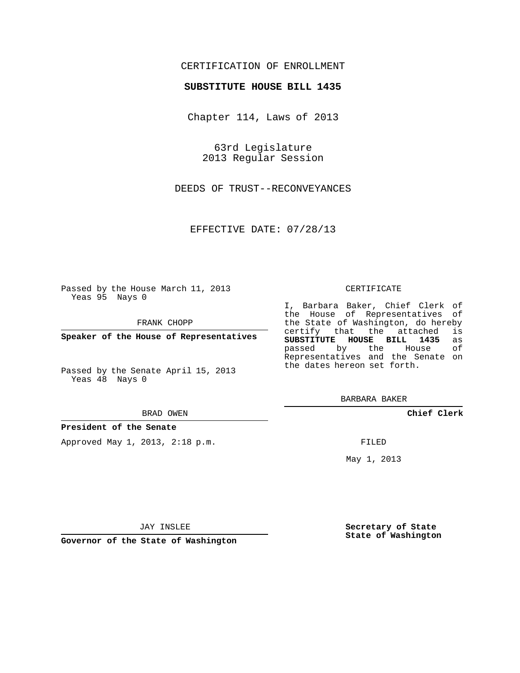## CERTIFICATION OF ENROLLMENT

### **SUBSTITUTE HOUSE BILL 1435**

Chapter 114, Laws of 2013

63rd Legislature 2013 Regular Session

DEEDS OF TRUST--RECONVEYANCES

EFFECTIVE DATE: 07/28/13

Passed by the House March 11, 2013 Yeas 95 Nays 0

FRANK CHOPP

**Speaker of the House of Representatives**

Passed by the Senate April 15, 2013 Yeas 48 Nays 0

#### BRAD OWEN

### **President of the Senate**

Approved May 1, 2013, 2:18 p.m.

### CERTIFICATE

I, Barbara Baker, Chief Clerk of the House of Representatives of the State of Washington, do hereby<br>certify that the attached is certify that the attached **SUBSTITUTE HOUSE BILL 1435** as passed by the Representatives and the Senate on the dates hereon set forth.

BARBARA BAKER

**Chief Clerk**

FILED

May 1, 2013

**Secretary of State State of Washington**

JAY INSLEE

**Governor of the State of Washington**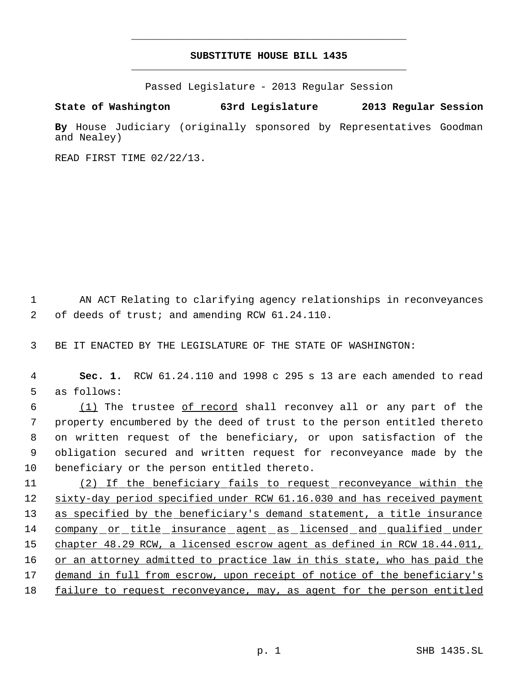# **SUBSTITUTE HOUSE BILL 1435** \_\_\_\_\_\_\_\_\_\_\_\_\_\_\_\_\_\_\_\_\_\_\_\_\_\_\_\_\_\_\_\_\_\_\_\_\_\_\_\_\_\_\_\_\_

\_\_\_\_\_\_\_\_\_\_\_\_\_\_\_\_\_\_\_\_\_\_\_\_\_\_\_\_\_\_\_\_\_\_\_\_\_\_\_\_\_\_\_\_\_

Passed Legislature - 2013 Regular Session

**State of Washington 63rd Legislature 2013 Regular Session**

**By** House Judiciary (originally sponsored by Representatives Goodman and Nealey)

READ FIRST TIME 02/22/13.

 1 AN ACT Relating to clarifying agency relationships in reconveyances 2 of deeds of trust; and amending RCW 61.24.110.

3 BE IT ENACTED BY THE LEGISLATURE OF THE STATE OF WASHINGTON:

 4 **Sec. 1.** RCW 61.24.110 and 1998 c 295 s 13 are each amended to read 5 as follows:

 (1) The trustee of record shall reconvey all or any part of the property encumbered by the deed of trust to the person entitled thereto on written request of the beneficiary, or upon satisfaction of the obligation secured and written request for reconveyance made by the beneficiary or the person entitled thereto.

11 (2) If the beneficiary fails to request reconveyance within the 12 sixty-day period specified under RCW 61.16.030 and has received payment 13 as specified by the beneficiary's demand statement, a title insurance 14 company or title insurance agent as licensed and qualified under 15 chapter 48.29 RCW, a licensed escrow agent as defined in RCW 18.44.011, 16 or an attorney admitted to practice law in this state, who has paid the 17 demand in full from escrow, upon receipt of notice of the beneficiary's 18 failure to request reconveyance, may, as agent for the person entitled